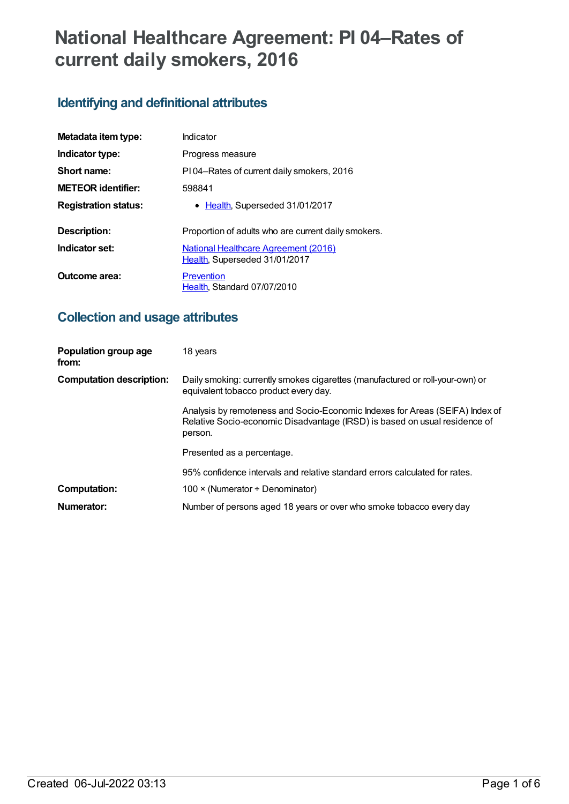# **National Healthcare Agreement: PI 04–Rates of current daily smokers, 2016**

# **Identifying and definitional attributes**

| Metadata item type:         | Indicator                                                                    |  |
|-----------------------------|------------------------------------------------------------------------------|--|
| Indicator type:             | Progress measure                                                             |  |
| Short name:                 | PI04-Rates of current daily smokers, 2016                                    |  |
| <b>METEOR identifier:</b>   | 598841                                                                       |  |
| <b>Registration status:</b> | • Health, Superseded 31/01/2017                                              |  |
| Description:                | Proportion of adults who are current daily smokers.                          |  |
| Indicator set:              | <b>National Healthcare Agreement (2016)</b><br>Health, Superseded 31/01/2017 |  |
| Outcome area:               | Prevention<br>Health, Standard 07/07/2010                                    |  |

# **Collection and usage attributes**

| Population group age<br>from:   | 18 years                                                                                                                                                              |
|---------------------------------|-----------------------------------------------------------------------------------------------------------------------------------------------------------------------|
| <b>Computation description:</b> | Daily smoking: currently smokes cigarettes (manufactured or roll-your-own) or<br>equivalent tobacco product every day.                                                |
|                                 | Analysis by remoteness and Socio-Economic Indexes for Areas (SEIFA) Index of<br>Relative Socio-economic Disadvantage (IRSD) is based on usual residence of<br>person. |
|                                 | Presented as a percentage.                                                                                                                                            |
|                                 | 95% confidence intervals and relative standard errors calculated for rates.                                                                                           |
| <b>Computation:</b>             | 100 $\times$ (Numerator ÷ Denominator)                                                                                                                                |
| Numerator:                      | Number of persons aged 18 years or over who smoke tobacco every day                                                                                                   |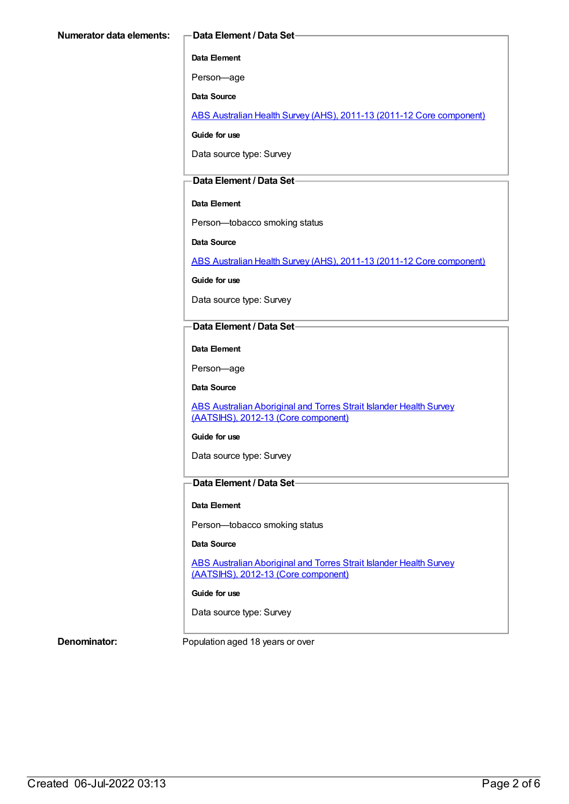#### **Data Element**

Person—age

**Data Source**

ABS Australian Health Survey (AHS), 2011-13 (2011-12 Core [component\)](https://meteor.aihw.gov.au/content/585476)

**Guide for use**

Data source type: Survey

#### **Data Element / Data Set**

#### **Data Element**

Person—tobacco smoking status

**Data Source**

ABS Australian Health Survey (AHS), 2011-13 (2011-12 Core [component\)](https://meteor.aihw.gov.au/content/585476)

**Guide for use**

Data source type: Survey

#### **Data Element / Data Set**

**Data Element**

Person—age

**Data Source**

ABS Australian Aboriginal and Torres Strait Islander Health Survey (AATSIHS), 2012-13 (Core [component\)](https://meteor.aihw.gov.au/content/585485)

#### **Guide for use**

Data source type: Survey

### **Data Element / Data Set**

#### **Data Element**

Person—tobacco smoking status

#### **Data Source**

ABS Australian Aboriginal and Torres Strait Islander Health Survey (AATSIHS), 2012-13 (Core [component\)](https://meteor.aihw.gov.au/content/585485)

#### **Guide for use**

Data source type: Survey

**Denominator:** Population aged 18 years or over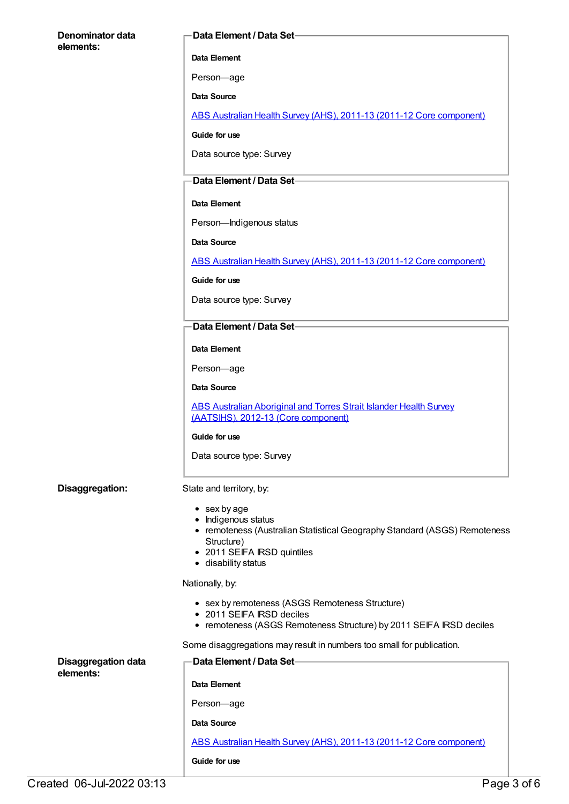| Denominator data                        | Data Element / Data Set-                                                                                         |
|-----------------------------------------|------------------------------------------------------------------------------------------------------------------|
| elements:                               | Data Element                                                                                                     |
|                                         | Person-age                                                                                                       |
|                                         | Data Source                                                                                                      |
|                                         | ABS Australian Health Survey (AHS), 2011-13 (2011-12 Core component)                                             |
|                                         | Guide for use                                                                                                    |
|                                         | Data source type: Survey                                                                                         |
|                                         | Data Element / Data Set-                                                                                         |
|                                         | Data Element                                                                                                     |
|                                         | Person-Indigenous status                                                                                         |
|                                         | Data Source                                                                                                      |
|                                         | ABS Australian Health Survey (AHS), 2011-13 (2011-12 Core component)                                             |
|                                         | Guide for use                                                                                                    |
|                                         | Data source type: Survey                                                                                         |
|                                         | Data Element / Data Set-                                                                                         |
|                                         | Data Element                                                                                                     |
|                                         | Person-age                                                                                                       |
|                                         | Data Source                                                                                                      |
|                                         | <b>ABS Australian Aboriginal and Torres Strait Islander Health Survey</b><br>(AATSIHS), 2012-13 (Core component) |
|                                         | Guide for use                                                                                                    |
|                                         | Data source type: Survey                                                                                         |
| Disaggregation:                         | State and territory, by:                                                                                         |
|                                         | $\bullet$ sex by age                                                                                             |
|                                         | • Indigenous status<br>• remoteness (Australian Statistical Geography Standard (ASGS) Remoteness                 |
|                                         | Structure)<br>• 2011 SEIFA IRSD quintiles                                                                        |
|                                         | • disability status                                                                                              |
|                                         | Nationally, by:                                                                                                  |
|                                         | • sex by remoteness (ASGS Remoteness Structure)<br>• 2011 SEIFA IRSD deciles                                     |
|                                         | • remoteness (ASGS Remoteness Structure) by 2011 SEIFA IRSD deciles                                              |
|                                         | Some disaggregations may result in numbers too small for publication.                                            |
| <b>Disaggregation data</b><br>elements: | Data Element / Data Set-                                                                                         |
|                                         | Data Element                                                                                                     |
|                                         | Person-age                                                                                                       |
|                                         | Data Source                                                                                                      |
|                                         | ABS Australian Health Survey (AHS), 2011-13 (2011-12 Core component)                                             |
|                                         | Guide for use                                                                                                    |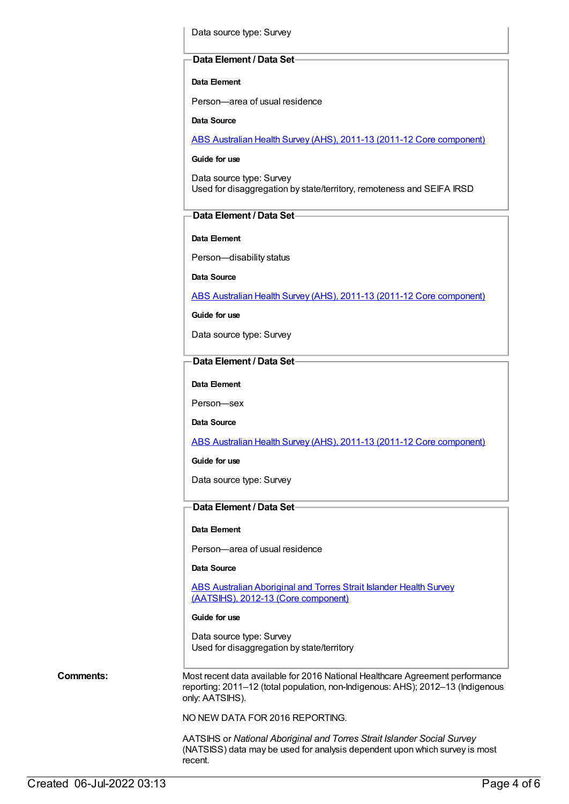Data source type: Survey

#### **Data Element / Data Set**

**Data Element**

Person—area of usual residence

**Data Source**

ABS Australian Health Survey (AHS), 2011-13 (2011-12 Core [component\)](https://meteor.aihw.gov.au/content/585476)

#### **Guide for use**

Data source type: Survey Used for disaggregation by state/territory, remoteness and SEIFA IRSD

### **Data Element / Data Set**

**Data Element**

Person—disability status

**Data Source**

ABS Australian Health Survey (AHS), 2011-13 (2011-12 Core [component\)](https://meteor.aihw.gov.au/content/585476)

**Guide for use**

Data source type: Survey

#### **Data Element / Data Set**

**Data Element**

Person—sex

**Data Source**

ABS Australian Health Survey (AHS), 2011-13 (2011-12 Core [component\)](https://meteor.aihw.gov.au/content/585476)

**Guide for use**

Data source type: Survey

### **Data Element / Data Set**

#### **Data Element**

Person—area of usual residence

**Data Source**

ABS Australian Aboriginal and Torres Strait Islander Health Survey (AATSIHS), 2012-13 (Core [component\)](https://meteor.aihw.gov.au/content/585485)

#### **Guide for use**

Data source type: Survey Used for disaggregation by state/territory

**Comments:** Most recent data available for 2016 National Healthcare Agreement performance reporting: 2011–12 (total population, non-Indigenous: AHS); 2012–13 (Indigenous only: AATSIHS).

NO NEW DATA FOR 2016 REPORTING.

AATSIHS or *National Aboriginal and Torres Strait Islander Social Survey* (NATSISS) data may be used for analysis dependent upon which survey is most recent.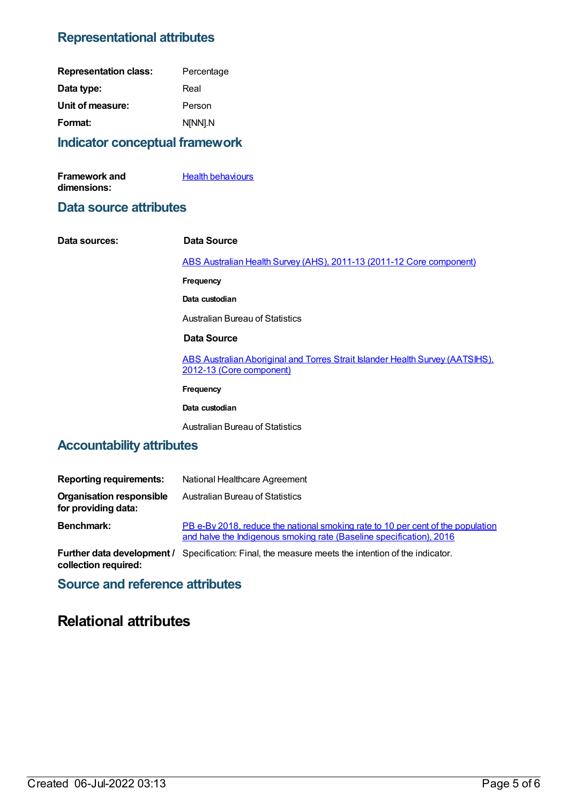# **Representational attributes**

| <b>Representation class:</b> | Percentage |
|------------------------------|------------|
| Data type:                   | Real       |
| Unit of measure:             | Person     |
| Format:                      | N[NN].N    |
|                              |            |

## **Indicator conceptual framework**

| <b>Framework and</b> | <b>Health behaviours</b> |
|----------------------|--------------------------|
| dimensions:          |                          |

## **Data source attributes**

**Data sources: Data Source** ABS Australian Health Survey (AHS), 2011-13 (2011-12 Core [component\)](https://meteor.aihw.gov.au/content/585476) **Frequency Data custodian** Australian Bureau of Statistics **Data Source** ABS Australian Aboriginal and Torres Strait Islander Health Survey [\(AATSIHS\),](https://meteor.aihw.gov.au/content/585485) 2012-13 (Core component) **Frequency**

**Data custodian**

Australian Bureau of Statistics

# **Accountability attributes**

| <b>Reporting requirements:</b>                         | National Healthcare Agreement                                                                                                                           |
|--------------------------------------------------------|---------------------------------------------------------------------------------------------------------------------------------------------------------|
| <b>Organisation responsible</b><br>for providing data: | Australian Bureau of Statistics                                                                                                                         |
| <b>Benchmark:</b>                                      | PB e-By 2018, reduce the national smoking rate to 10 per cent of the population<br>and halve the Indigenous smoking rate (Baseline specification), 2016 |
|                                                        | <b>Further data development</b> / Specification: Final, the measure meets the intention of the indicator.                                               |

**Further data development / collection required:** Specification: Final, the measure meets the intention of the indicator.

## **Source and reference attributes**

# **Relational attributes**